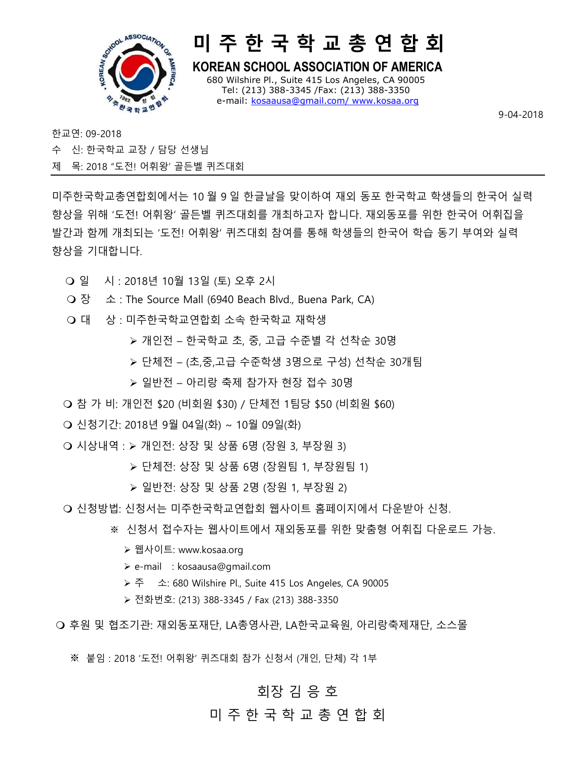

# 미 주 한 국 학 교 총 연 합 회

KOREAN SCHOOL ASSOCIATION OF AMERICA 680 Wilshire Pl., Suite 415 Los Angeles, CA 90005 Tel: (213) 388-3345 /Fax: (213) 388-3350 e-mail: kosaausa@gmail.com/ www.kosaa.org

9-04-2018

한교연: 09-2018

수 신: 한국학교 교장 / 담당 선생님

제 목: 2018 "도전! 어휘왕' 골든벨 퀴즈대회

미주한국학교총연합회에서는 10 월 9 일 한글날을 맞이하여 재외 동포 한국학교 학생들의 한국어 실력 향상을 위해 '도전! 어휘왕' 골든벨 퀴즈대회를 개최하고자 합니다. 재외동포를 위한 한국어 어휘집을 발간과 함께 개최되는 '도전! 어휘왕' 퀴즈대회 참여를 통해 학생들의 한국어 학습 동기 부여와 실력 향상을 기대합니다.

- 일 시 : 2018년 10월 13일 (토) 오후 2시
- 장 소 : The Source Mall (6940 Beach Blvd., Buena Park, CA)
- 대 상 : 미주한국학교연합회 소속 한국학교 재학생
	- 개인전 한국학교 초, 중, 고급 수준별 각 선착순 30명
	- 단체전 (초,중,고급 수준학생 3명으로 구성) 선착순 30개팀
	- 일반전 아리랑 축제 참가자 현장 접수 30명
- 참 가 비: 개인전 \$20 (비회원 \$30) / 단체전 1팀당 \$50 (비회원 \$60)
- 신청기간: 2018년 9월 04일(화) ~ 10월 09일(화)
- 시상내역 : 개인전: 상장 및 상품 6명 (장원 3, 부장원 3)
	- 단체전: 상장 및 상품 6명 (장원팀 1, 부장원팀 1)
	- 일반전: 상장 및 상품 2명 (장원 1, 부장원 2)
- 신청방법: 신청서는 미주한국학교연합회 웹사이트 홈페이지에서 다운받아 신청.
	- ※ 신청서 접수자는 웹사이트에서 재외동포를 위한 맞춤형 어휘집 다운로드 가능.
		- 웹사이트: www.kosaa.org
		- e-mail : kosaausa@gmail.com
		- 주 소: 680 Wilshire Pl., Suite 415 Los Angeles, CA 90005
		- 전화번호: (213) 388-3345 / Fax (213) 388-3350
- 후원 및 협조기관: 재외동포재단, LA총영사관, LA한국교육원, 아리랑축제재단, 소스몰

※ 붙임 : 2018 '도전! 어휘왕' 퀴즈대회 참가 신청서 (개인, 단체) 각 1부

#### 회장 김 응 호

#### 미 주 한 국 학 교 총 연 합 회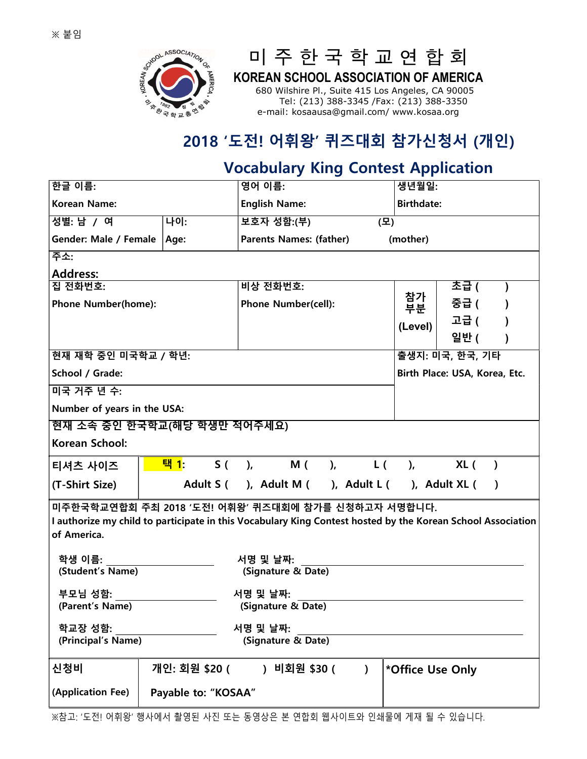

### 미 주 한 국 학 교 연 합 회

KOREAN SCHOOL ASSOCIATION OF AMERICA 680 Wilshire Pl., Suite 415 Los Angeles, CA 90005 Tel: (213) 388-3345 /Fax: (213) 388-3350 e-mail: kosaausa@gmail.com/ www.kosaa.org

## 2018 '도전! 어휘왕' 퀴즈대회 참가신청서 (개인)

#### Vocabulary King Contest Application

| $\overline{v}$ 글 이름:                                                                                        |                          | 영어 이름:                                            |                  | $\overline{W}$ 년월일:           |      |           |  |  |
|-------------------------------------------------------------------------------------------------------------|--------------------------|---------------------------------------------------|------------------|-------------------------------|------|-----------|--|--|
| Korean Name:                                                                                                |                          | <b>English Name:</b>                              |                  | <b>Birthdate:</b>             |      |           |  |  |
| 성별: 남 / 여                                                                                                   | 나이:                      | 보호자 성함:(부)<br>(모)                                 |                  |                               |      |           |  |  |
| Gender: Male / Female                                                                                       | Age:                     | <b>Parents Names: (father)</b><br>(mother)        |                  |                               |      |           |  |  |
| 주소:                                                                                                         |                          |                                                   |                  |                               |      |           |  |  |
| <b>Address:</b>                                                                                             |                          |                                                   |                  |                               |      |           |  |  |
| 집 전화번호:                                                                                                     |                          | 비상 전화번호:                                          |                  |                               | 초급 ( |           |  |  |
| <b>Phone Number(home):</b>                                                                                  |                          | <b>Phone Number(cell):</b>                        |                  | 참가<br>부분                      | 중급 ( |           |  |  |
|                                                                                                             |                          |                                                   |                  | (Level)                       | 고급 ( |           |  |  |
|                                                                                                             |                          |                                                   |                  |                               | 일반 ( | $\lambda$ |  |  |
| 현재 재학 중인 미국학교 / 학년:                                                                                         |                          |                                                   | 출생지: 미국, 한국, 기타  |                               |      |           |  |  |
| School / Grade:                                                                                             |                          |                                                   |                  | Birth Place: USA, Korea, Etc. |      |           |  |  |
| 미국 거주 년 수:                                                                                                  |                          |                                                   |                  |                               |      |           |  |  |
| Number of years in the USA:                                                                                 |                          |                                                   |                  |                               |      |           |  |  |
| 현재 소속 중인 한국학교(해당 학생만 적어주세요)                                                                                 |                          |                                                   |                  |                               |      |           |  |  |
| <b>Korean School:</b>                                                                                       |                          |                                                   |                  |                               |      |           |  |  |
| 티셔츠 사이즈                                                                                                     | <mark>택 1</mark> :<br>S( | M (<br>$\lambda$                                  | $\lambda$<br>L ( | $\lambda$                     | XL ( | $\lambda$ |  |  |
| (T-Shirt Size)                                                                                              |                          | Adult S ( ), Adult M ( ), Adult L ( ), Adult XL ( |                  |                               |      | $\lambda$ |  |  |
| 미주한국학교연합회 주최 2018 '도전! 어휘왕' 퀴즈대회에 참가를 신청하고자 서명합니다.                                                          |                          |                                                   |                  |                               |      |           |  |  |
| I authorize my child to participate in this Vocabulary King Contest hosted by the Korean School Association |                          |                                                   |                  |                               |      |           |  |  |
| of America.                                                                                                 |                          |                                                   |                  |                               |      |           |  |  |
| 학생 이름:                                                                                                      |                          | 서명 및 날짜:                                          |                  |                               |      |           |  |  |
| (Student's Name)                                                                                            |                          | (Signature & Date)                                |                  |                               |      |           |  |  |
| 부모님 성함:                                                                                                     |                          | 서명 및 날짜:                                          |                  |                               |      |           |  |  |
| (Parent's Name)                                                                                             |                          | (Signature & Date)                                |                  |                               |      |           |  |  |
| 학교장 성함:                                                                                                     |                          | 서명 및 날짜:                                          |                  |                               |      |           |  |  |
| (Principal's Name)                                                                                          |                          | (Signature & Date)                                |                  |                               |      |           |  |  |
| 신청비                                                                                                         | 개인: 회원 \$20 (            | ) 비회원 \$30 (                                      |                  |                               |      |           |  |  |
|                                                                                                             |                          |                                                   | $\mathcal{L}$    | *Office Use Only              |      |           |  |  |
| (Application Fee)                                                                                           | Payable to: "KOSAA"      |                                                   |                  |                               |      |           |  |  |

※참고: '도전! 어휘왕' 행사에서 촬영된 사진 또는 동영상은 본 연합회 웹사이트와 인쇄물에 게재 될 수 있습니다.